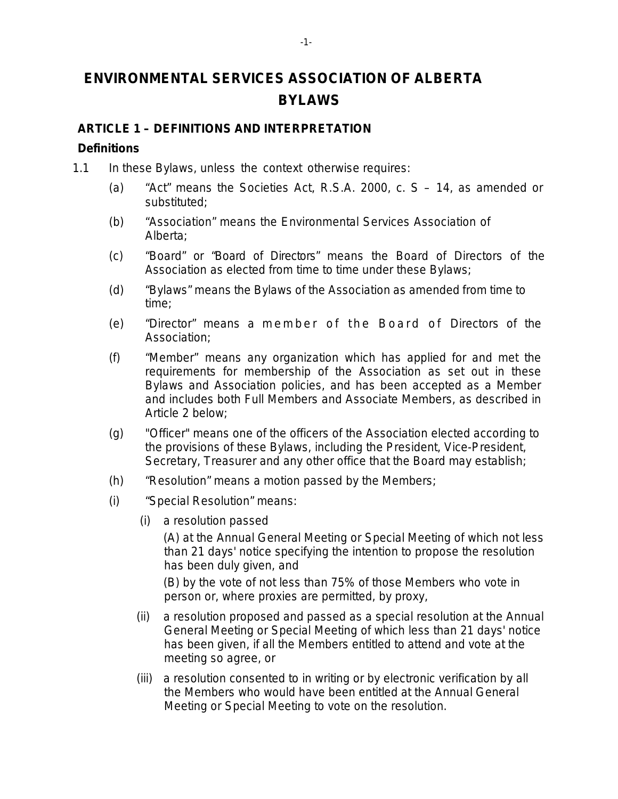# **ENVIRONMENTAL SERVICES ASSOCIATION OF ALBERTA BYLAWS**

# **ARTICLE 1 – DEFINITIONS AND INTERPRETATION**

#### **Definitions**

- 1.1 In these Bylaws, unless the context otherwise requires:
	- (a) "Act" means the *Societies Act*, R.S.A. 2000, c. S 14, as amended or substituted;
	- (b) "Association" means the Environmental Services Association of Alberta;
	- (c) "Board" or "Board of Directors" means the Board of Directors of the Association as elected from time to time under these Bylaws;
	- (d) "Bylaws" means the Bylaws of the Association as amended from time to time;
	- (e) "Director" means a member of the Board of Directors of the Association;
	- (f) "Member" means any organization which has applied for and met the requirements for membership of the Association as set out in these Bylaws and Association policies, and has been accepted as a Member and includes both Full Members and Associate Members, as described in Article 2 below;
	- (g) "Officer" means one of the officers of the Association elected according to the provisions of these Bylaws, including the President, Vice-President, Secretary, Treasurer and any other office that the Board may establish;
	- (h) "Resolution" means a motion passed by the Members;
	- (i) "Special Resolution" means:
		- (i) a resolution passed

(A) at the Annual General Meeting or Special Meeting of which not less than 21 days' notice specifying the intention to propose the resolution has been duly given, and

(B) by the vote of not less than 75% of those Members who vote in person or, where proxies are permitted, by proxy,

- (ii) a resolution proposed and passed as a special resolution at the Annual General Meeting or Special Meeting of which less than 21 days' notice has been given, if all the Members entitled to attend and vote at the meeting so agree, or
- (iii) a resolution consented to in writing or by electronic verification by all the Members who would have been entitled at the Annual General Meeting or Special Meeting to vote on the resolution.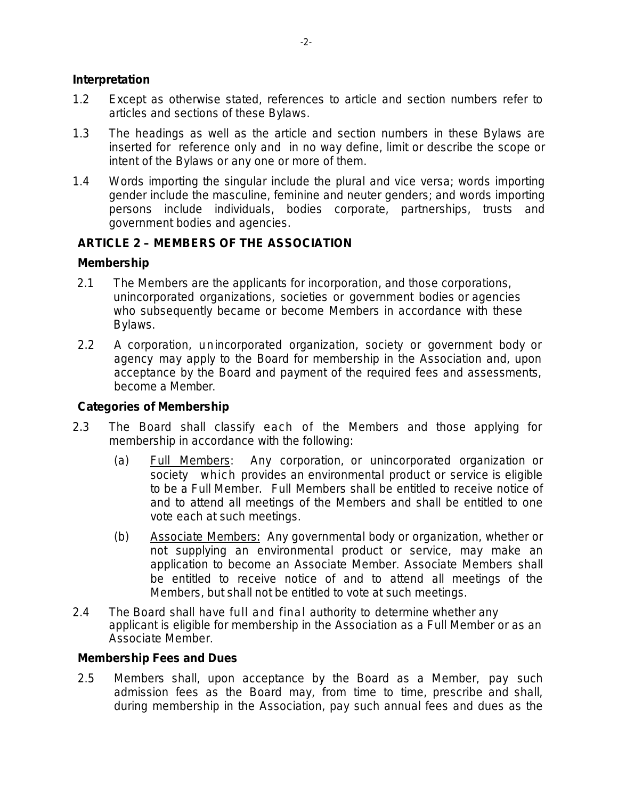#### **Interpretation**

- 1.2 Except as otherwise stated, references to article and section numbers refer to articles and sections of these Bylaws.
- 1.3 The headings as well as the article and section numbers in these Bylaws are inserted for reference only and in no way define, limit or describe the scope or intent of the Bylaws or any one or more of them.
- 1.4 Words importing the singular include the plural and vice versa; words importing gender include the masculine, feminine and neuter genders; and words importing persons include individuals, bodies corporate, partnerships, trusts and government bodies and agencies.

# **ARTICLE 2 – MEMBERS OF THE ASSOCIATION**

## **Membership**

- 2.1 The Members are the applicants for incorporation, and those corporations, unincorporated organizations, societies or government bodies or agencies who subsequently became or become Members in accordance with these Bylaws.
- 2.2 A corporation, unincorporated organization, society or government body or agency may apply to the Board for membership in the Association and, upon acceptance by the Board and payment of the required fees and assessments, become a Member.

## **Categories of Membership**

- 2.3 The Board shall classify each of the Members and those applying for membership in accordance with the following:
	- (a) Full Members: Any corporation, or unincorporated organization or society which provides an environmental product or service is eligible to be a Full Member. Full Members shall be entitled to receive notice of and to attend all meetings of the Members and shall be entitled to one vote each at such meetings.
	- (b) Associate Members: Any governmental body or organization, whether or not supplying an environmental product or service, may make an application to become an Associate Member. Associate Members shall be entitled to receive notice of and to attend all meetings of the Members, but shall not be entitled to vote at such meetings.
- 2.4 The Board shall have full and final authority to determine whether any applicant is eligible for membership in the Association as a Full Member or as an Associate Member.

#### **Membership Fees and Dues**

2.5 Members shall, upon acceptance by the Board as a Member, pay such admission fees as the Board may, from time to time, prescribe and shall, during membership in the Association, pay such annual fees and dues as the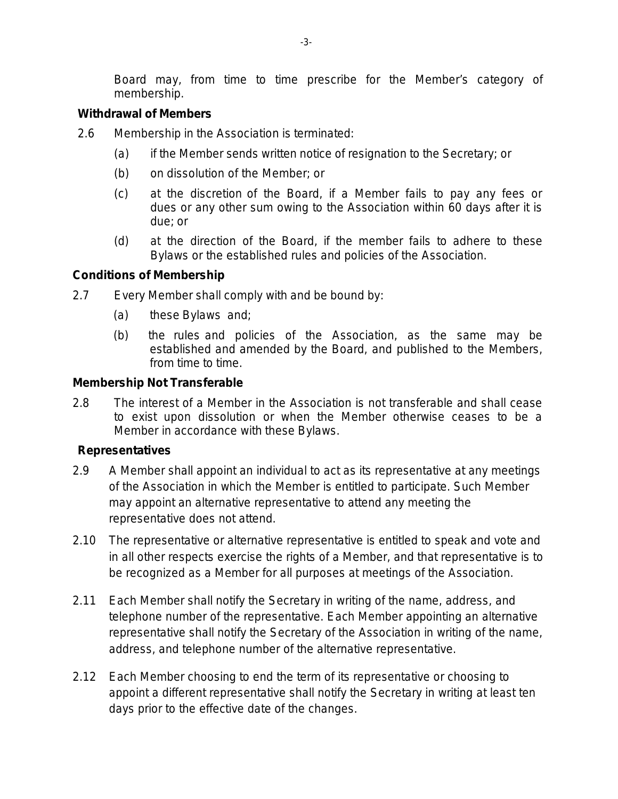Board may, from time to time prescribe for the Member's category of membership.

#### **Withdrawal of Members**

- 2.6 Membership in the Association is terminated:
	- (a) if the Member sends written notice of resignation to the Secretary; or
	- (b) on dissolution of the Member; or
	- (c) at the discretion of the Board, if a Member fails to pay any fees or dues or any other sum owing to the Association within 60 days after it is due; or
	- (d) at the direction of the Board, if the member fails to adhere to these Bylaws or the established rules and policies of the Association.

#### **Conditions of Membership**

2.7 Every Member shall comply with and be bound by:

- (a) these Bylaws and;
- (b) the rules and policies of the Association, as the same may be established and amended by the Board, and published to the Members, from time to time.

#### **Membership Not Transferable**

2.8 The interest of a Member in the Association is not transferable and shall cease to exist upon dissolution or when the Member otherwise ceases to be a Member in accordance with these Bylaws.

#### **Representatives**

- 2.9 A Member shall appoint an individual to act as its representative at any meetings of the Association in which the Member is entitled to participate. Such Member may appoint an alternative representative to attend any meeting the representative does not attend.
- 2.10 The representative or alternative representative is entitled to speak and vote and in all other respects exercise the rights of a Member, and that representative is to be recognized as a Member for all purposes at meetings of the Association.
- 2.11 Each Member shall notify the Secretary in writing of the name, address, and telephone number of the representative. Each Member appointing an alternative representative shall notify the Secretary of the Association in writing of the name, address, and telephone number of the alternative representative.
- 2.12 Each Member choosing to end the term of its representative or choosing to appoint a different representative shall notify the Secretary in writing at least ten days prior to the effective date of the changes.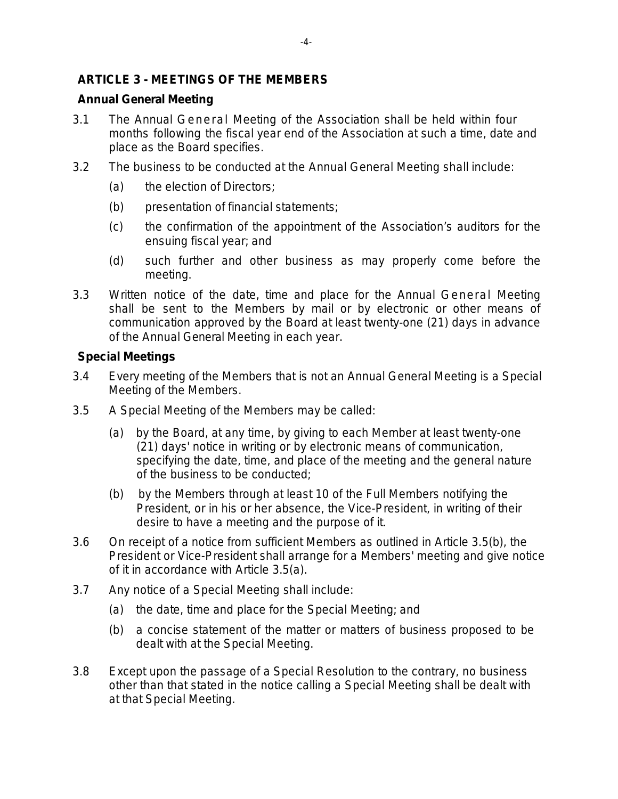# **ARTICLE 3 - MEETINGS OF THE MEMBERS**

# **Annual General Meeting**

- 3.1 The Annual General Meeting of the Association shall be held within four months following the fiscal year end of the Association at such a time, date and place as the Board specifies.
- 3.2 The business to be conducted at the Annual General Meeting shall include:
	- (a) the election of Directors;
	- (b) presentation of financial statements;
	- (c) the confirmation of the appointment of the Association's auditors for the ensuing fiscal year; and
	- (d) such further and other business as may properly come before the meeting.
- 3.3 Written notice of the date, time and place for the Annual General Meeting shall be sent to the Members by mail or by electronic or other means of communication approved by the Board at least twenty-one (21) days in advance of the Annual General Meeting in each year.

# **Special Meetings**

- 3.4 Every meeting of the Members that is not an Annual General Meeting is a Special Meeting of the Members.
- 3.5 A Special Meeting of the Members may be called:
	- (a) by the Board, at any time, by giving to each Member at least twenty-one (21) days' notice in writing or by electronic means of communication, specifying the date, time, and place of the meeting and the general nature of the business to be conducted;
	- (b) by the Members through at least 10 of the Full Members notifying the President, or in his or her absence, the Vice-President, in writing of their desire to have a meeting and the purpose of it.
- 3.6 On receipt of a notice from sufficient Members as outlined in Article 3.5(b), the President or Vice-President shall arrange for a Members' meeting and give notice of it in accordance with Article 3.5(a).
- 3.7 Any notice of a Special Meeting shall include:
	- (a) the date, time and place for the Special Meeting; and
	- (b) a concise statement of the matter or matters of business proposed to be dealt with at the Special Meeting.
- 3.8 Except upon the passage of a Special Resolution to the contrary, no business other than that stated in the notice calling a Special Meeting shall be dealt with at that Special Meeting.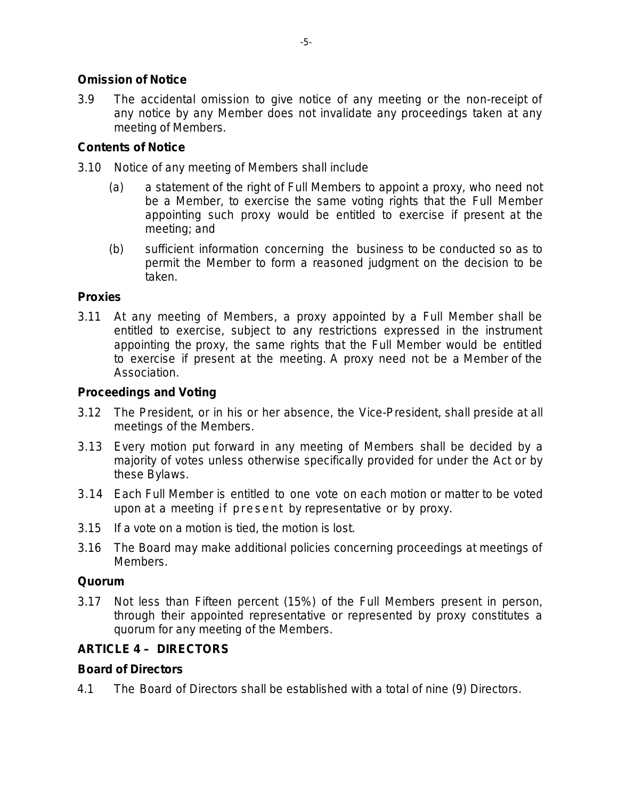# **Omission of Notice**

3.9 The accidental omission to give notice of any meeting or the non-receipt of any notice by any Member does not invalidate any proceedings taken at any meeting of Members.

# **Contents of Notice**

3.10 Notice of any meeting of Members shall include

- (a) a statement of the right of Full Members to appoint a proxy, who need not be a Member, to exercise the same voting rights that the Full Member appointing such proxy would be entitled to exercise if present at the meeting; and
- (b) sufficient information concerning the business to be conducted so as to permit the Member to form a reasoned judgment on the decision to be taken.

# **Proxies**

3.11 At any meeting of Members, a proxy appointed by a Full Member shall be entitled to exercise, subject to any restrictions expressed in the instrument appointing the proxy, the same rights that the Full Member would be entitled to exercise if present at the meeting. A proxy need not be a Member of the Association.

# **Proceedings and Voting**

- 3.12 The President, or in his or her absence, the Vice-President, shall preside at all meetings of the Members.
- 3.13 Every motion put forward in any meeting of Members shall be decided by a majority of votes unless otherwise specifically provided for under the Act or by these Bylaws.
- 3.14 Each Full Member is entitled to one vote on each motion or matter to be voted upon at a meeting if present by representative or by proxy.
- 3.15 If a vote on a motion is tied, the motion is lost.
- 3.16 The Board may make additional policies concerning proceedings at meetings of Members.

# **Quorum**

3.17 Not less than Fifteen percent (15%) of the Full Members present in person, through their appointed representative or represented by proxy constitutes a quorum for any meeting of the Members.

# **ARTICLE 4 – DIRECTORS**

# **Board of Directors**

4.1 The Board of Directors shall be established with a total of nine (9) Directors.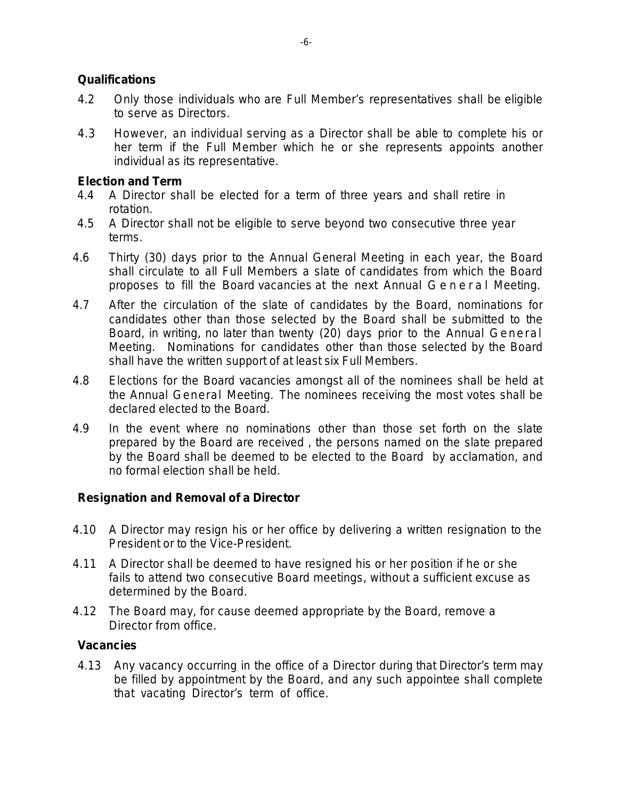## **Qualifications**

- 4.2 Only those individuals who are Full Member's representatives shall be eligible to serve as Directors.
- 4.3 However, an individual serving as a Director shall be able to complete his or her term if the Full Member which he or she represents appoints another individual as its representative.

# **Election and Term**

- 4.4 A Director shall be elected for a term of three years and shall retire in rotation.
- 4.5 A Director shall not be eligible to serve beyond two consecutive three year terms.
- 4.6 Thirty (30) days prior to the Annual General Meeting in each year, the Board shall circulate to all Full Members a slate of candidates from which the Board proposes to fill the Board vacancies at the next Annual General Meeting.
- 4.7 After the circulation of the slate of candidates by the Board, nominations for candidates other than those selected by the Board shall be submitted to the Board, in writing, no later than twenty (20) days prior to the Annual General Meeting. Nominations for candidates other than those selected by the Board shall have the written support of at least six Full Members.
- 4.8 Elections for the Board vacancies amongst all of the nominees shall be held at the Annual General Meeting. The nominees receiving the most votes shall be declared elected to the Board.
- 4.9 In the event where no nominations other than those set forth on the slate prepared by the Board are received , the persons named on the slate prepared by the Board shall be deemed to be elected to the Board by acclamation, and no formal election shall be held.

# **Resignation and Removal of a Director**

- 4.10 A Director may resign his or her office by delivering a written resignation to the President or to the Vice-President.
- 4.11 A Director shall be deemed to have resigned his or her position if he or she fails to attend two consecutive Board meetings, without a sufficient excuse as determined by the Board.
- 4.12 The Board may, for cause deemed appropriate by the Board, remove a Director from office.

## **Vacancies**

4.13 Any vacancy occurring in the office of a Director during that Director's term may be filled by appointment by the Board, and any such appointee shall complete that vacating Director's term of office.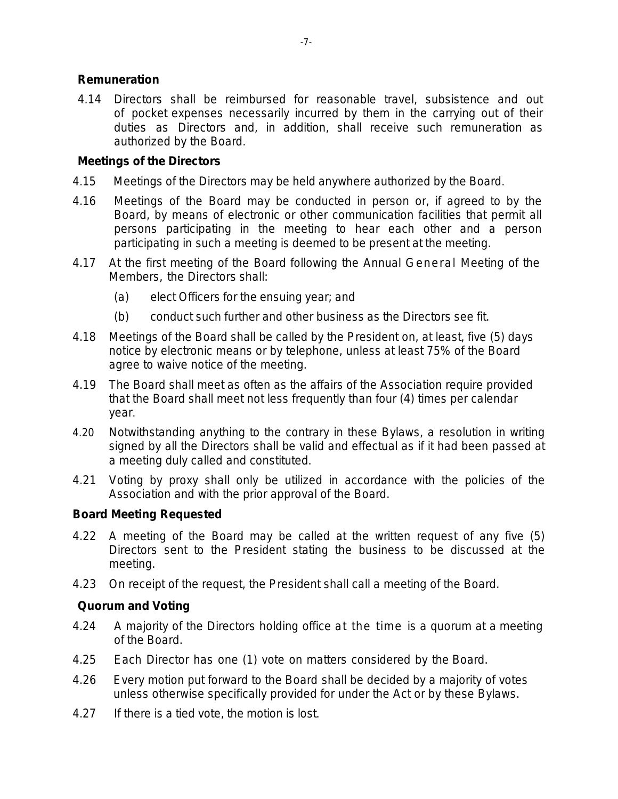## **Remuneration**

4.14 Directors shall be reimbursed for reasonable travel, subsistence and out of pocket expenses necessarily incurred by them in the carrying out of their duties as Directors and, in addition, shall receive such remuneration as authorized by the Board.

#### **Meetings of the Directors**

- 4.15 Meetings of the Directors may be held anywhere authorized by the Board.
- 4.16 Meetings of the Board may be conducted in person or, if agreed to by the Board, by means of electronic or other communication facilities that permit all persons participating in the meeting to hear each other and a person participating in such a meeting is deemed to be present at the meeting.
- 4.17 At the first meeting of the Board following the Annual General Meeting of the Members, the Directors shall:
	- (a) elect Officers for the ensuing year; and
	- (b) conduct such further and other business as the Directors see fit.
- 4.18 Meetings of the Board shall be called by the President on, at least, five (5) days notice by electronic means or by telephone, unless at least 75% of the Board agree to waive notice of the meeting.
- 4.19 The Board shall meet as often as the affairs of the Association require provided that the Board shall meet not less frequently than four (4) times per calendar year.
- 4.20 Notwithstanding anything to the contrary in these Bylaws, a resolution in writing signed by all the Directors shall be valid and effectual as if it had been passed at a meeting duly called and constituted.
- 4.21 Voting by proxy shall only be utilized in accordance with the policies of the Association and with the prior approval of the Board.

#### **Board Meeting Requested**

- 4.22 A meeting of the Board may be called at the written request of any five (5) Directors sent to the President stating the business to be discussed at the meeting.
- 4.23 On receipt of the request, the President shall call a meeting of the Board.

## **Quorum and Voting**

- 4.24 A majority of the Directors holding office at the time is a quorum at a meeting of the Board.
- 4.25 Each Director has one (1) vote on matters considered by the Board.
- 4.26 Every motion put forward to the Board shall be decided by a majority of votes unless otherwise specifically provided for under the Act or by these Bylaws.
- 4.27 If there is a tied vote, the motion is lost.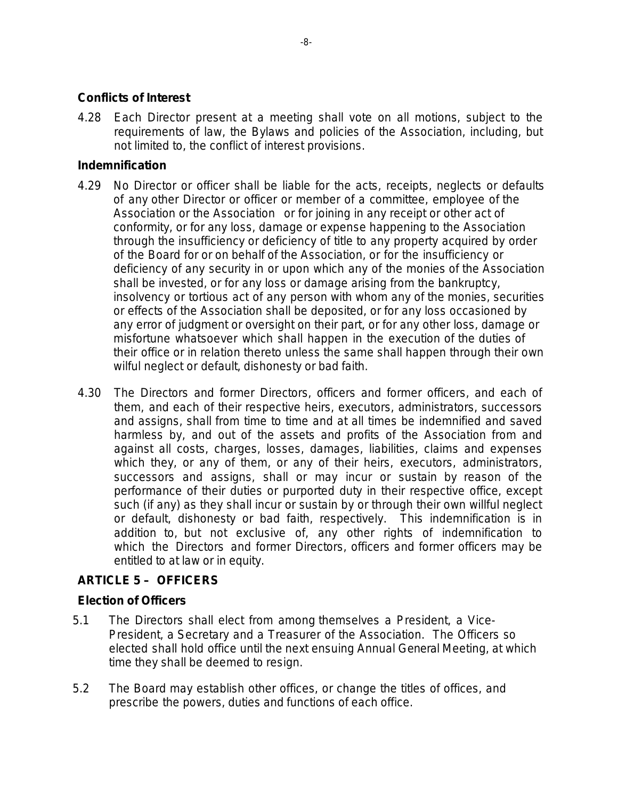#### **Conflicts of Interest**

4.28 Each Director present at a meeting shall vote on all motions, subject to the requirements of law, the Bylaws and policies of the Association, including, but not limited to, the conflict of interest provisions.

#### **Indemnification**

- 4.29 No Director or officer shall be liable for the acts, receipts, neglects or defaults of any other Director or officer or member of a committee, employee of the Association or the Association or for joining in any receipt or other act of conformity, or for any loss, damage or expense happening to the Association through the insufficiency or deficiency of title to any property acquired by order of the Board for or on behalf of the Association, or for the insufficiency or deficiency of any security in or upon which any of the monies of the Association shall be invested, or for any loss or damage arising from the bankruptcy, insolvency or tortious act of any person with whom any of the monies, securities or effects of the Association shall be deposited, or for any loss occasioned by any error of judgment or oversight on their part, or for any other loss, damage or misfortune whatsoever which shall happen in the execution of the duties of their office or in relation thereto unless the same shall happen through their own wilful neglect or default, dishonesty or bad faith.
- 4.30 The Directors and former Directors, officers and former officers, and each of them, and each of their respective heirs, executors, administrators, successors and assigns, shall from time to time and at all times be indemnified and saved harmless by, and out of the assets and profits of the Association from and against all costs, charges, losses, damages, liabilities, claims and expenses which they, or any of them, or any of their heirs, executors, administrators, successors and assigns, shall or may incur or sustain by reason of the performance of their duties or purported duty in their respective office, except such (if any) as they shall incur or sustain by or through their own willful neglect or default, dishonesty or bad faith, respectively. This indemnification is in addition to, but not exclusive of, any other rights of indemnification to which the Directors and former Directors, officers and former officers may be entitled to at law or in equity.

## **ARTICLE 5 – OFFICERS**

## **Election of Officers**

- 5.1 The Directors shall elect from among themselves a President, a Vice-President, a Secretary and a Treasurer of the Association. The Officers so elected shall hold office until the next ensuing Annual General Meeting, at which time they shall be deemed to resign.
- 5.2 The Board may establish other offices, or change the titles of offices, and prescribe the powers, duties and functions of each office.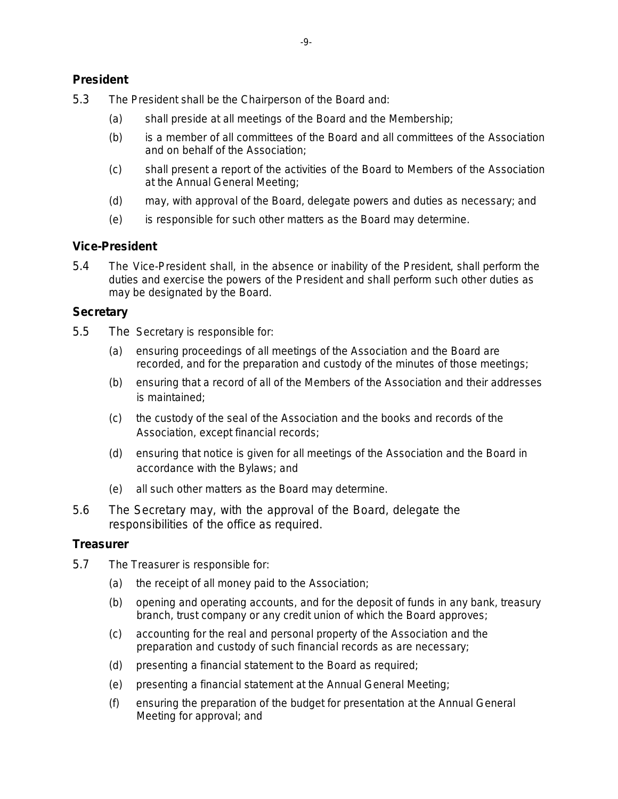#### **President**

5.3 The President shall be the Chairperson of the Board and:

- (a) shall preside at all meetings of the Board and the Membership;
- (b) is a member of all committees of the Board and all committees of the Association and on behalf of the Association;
- (c) shall present a report of the activities of the Board to Members of the Association at the Annual General Meeting;
- (d) may, with approval of the Board, delegate powers and duties as necessary; and
- (e) is responsible for such other matters as the Board may determine.

#### **Vice-President**

5.4 The Vice-President shall, in the absence or inability of the President, shall perform the duties and exercise the powers of the President and shall perform such other duties as may be designated by the Board.

#### **Secretary**

- 5.5 The Secretary is responsible for:
	- (a) ensuring proceedings of all meetings of the Association and the Board are recorded, and for the preparation and custody of the minutes of those meetings;
	- (b) ensuring that a record of all of the Members of the Association and their addresses is maintained;
	- (c) the custody of the seal of the Association and the books and records of the Association, except financial records;
	- (d) ensuring that notice is given for all meetings of the Association and the Board in accordance with the Bylaws; and
	- (e) all such other matters as the Board may determine.
- 5.6 The Secretary may, with the approval of the Board, delegate the responsibilities of the office as required.

#### **Treasurer**

- 5.7 The Treasurer is responsible for:
	- (a) the receipt of all money paid to the Association;
	- (b) opening and operating accounts, and for the deposit of funds in any bank, treasury branch, trust company or any credit union of which the Board approves;
	- (c) accounting for the real and personal property of the Association and the preparation and custody of such financial records as are necessary;
	- (d) presenting a financial statement to the Board as required;
	- (e) presenting a financial statement at the Annual General Meeting;
	- (f) ensuring the preparation of the budget for presentation at the Annual General Meeting for approval; and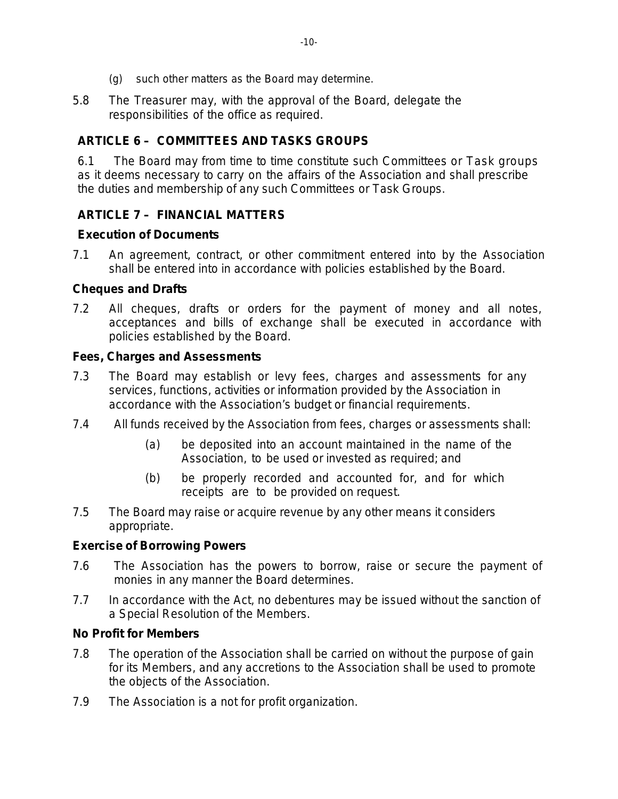- (g) such other matters as the Board may determine.
- 5.8 The Treasurer may, with the approval of the Board, delegate the responsibilities of the office as required.

# **ARTICLE 6 – COMMITTEES AND TASKS GROUPS**

6.1 The Board may from time to time constitute such Committees or Task groups as it deems necessary to carry on the affairs of the Association and shall prescribe the duties and membership of any such Committees or Task Groups.

# **ARTICLE 7 – FINANCIAL MATTERS**

#### **Execution of Documents**

7.1 An agreement, contract, or other commitment entered into by the Association shall be entered into in accordance with policies established by the Board.

#### **Cheques and Drafts**

7.2 All cheques, drafts or orders for the payment of money and all notes, acceptances and bills of exchange shall be executed in accordance with policies established by the Board.

#### **Fees, Charges and Assessments**

- 7.3 The Board may establish or levy fees, charges and assessments for any services, functions, activities or information provided by the Association in accordance with the Association's budget or financial requirements.
- 7.4 All funds received by the Association from fees, charges or assessments shall:
	- (a) be deposited into an account maintained in the name of the Association, to be used or invested as required; and
	- (b) be properly recorded and accounted for, and for which receipts are to be provided on request.
- 7.5 The Board may raise or acquire revenue by any other means it considers appropriate.

#### **Exercise of Borrowing Powers**

- 7.6 The Association has the powers to borrow, raise or secure the payment of monies in any manner the Board determines.
- 7.7 In accordance with the Act, no debentures may be issued without the sanction of a Special Resolution of the Members.

#### **No Profit for Members**

- 7.8 The operation of the Association shall be carried on without the purpose of gain for its Members, and any accretions to the Association shall be used to promote the objects of the Association.
- 7.9 The Association is a not for profit organization.